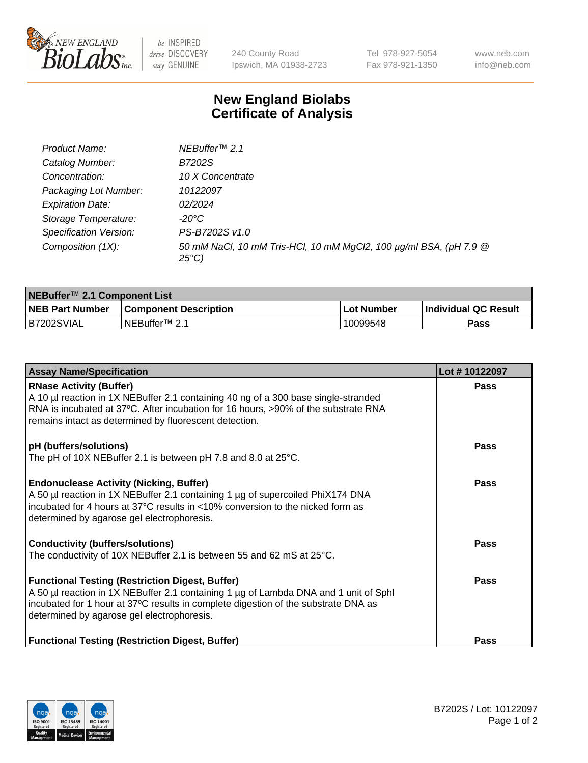

be INSPIRED drive DISCOVERY stay GENUINE

240 County Road Ipswich, MA 01938-2723 Tel 978-927-5054 Fax 978-921-1350 www.neb.com info@neb.com

## **New England Biolabs Certificate of Analysis**

| Product Name:                 | NEBuffer <sup>™</sup> 2.1                                                          |
|-------------------------------|------------------------------------------------------------------------------------|
| Catalog Number:               | B7202S                                                                             |
| Concentration:                | 10 X Concentrate                                                                   |
| Packaging Lot Number:         | 10122097                                                                           |
| <b>Expiration Date:</b>       | 02/2024                                                                            |
| Storage Temperature:          | -20°C                                                                              |
| <b>Specification Version:</b> | PS-B7202S v1.0                                                                     |
| Composition (1X):             | 50 mM NaCl, 10 mM Tris-HCl, 10 mM MgCl2, 100 µg/ml BSA, (pH 7.9 @<br>$25^{\circ}C$ |

| NEBuffer™ 2.1 Component List |                              |              |                             |  |  |
|------------------------------|------------------------------|--------------|-----------------------------|--|--|
| <b>NEB Part Number</b>       | <b>Component Description</b> | . Lot Number | <b>Individual QC Result</b> |  |  |
| B7202SVIAL                   | NEBuffer™ 2.1                | 10099548     | <b>Pass</b>                 |  |  |

| <b>Assay Name/Specification</b>                                                                                                                                                                                                                                                    | Lot #10122097 |
|------------------------------------------------------------------------------------------------------------------------------------------------------------------------------------------------------------------------------------------------------------------------------------|---------------|
| <b>RNase Activity (Buffer)</b><br>A 10 µl reaction in 1X NEBuffer 2.1 containing 40 ng of a 300 base single-stranded<br>RNA is incubated at 37°C. After incubation for 16 hours, >90% of the substrate RNA<br>remains intact as determined by fluorescent detection.               | <b>Pass</b>   |
| pH (buffers/solutions)<br>The pH of 10X NEBuffer 2.1 is between pH 7.8 and 8.0 at $25^{\circ}$ C.                                                                                                                                                                                  | Pass          |
| <b>Endonuclease Activity (Nicking, Buffer)</b><br>A 50 µl reaction in 1X NEBuffer 2.1 containing 1 µg of supercoiled PhiX174 DNA<br>incubated for 4 hours at 37 $^{\circ}$ C results in <10% conversion to the nicked form as<br>determined by agarose gel electrophoresis.        | Pass          |
| <b>Conductivity (buffers/solutions)</b><br>The conductivity of 10X NEBuffer 2.1 is between 55 and 62 mS at 25°C.                                                                                                                                                                   | Pass          |
| <b>Functional Testing (Restriction Digest, Buffer)</b><br>A 50 µl reaction in 1X NEBuffer 2.1 containing 1 µg of Lambda DNA and 1 unit of Sphl<br>incubated for 1 hour at 37°C results in complete digestion of the substrate DNA as<br>determined by agarose gel electrophoresis. | Pass          |
| <b>Functional Testing (Restriction Digest, Buffer)</b>                                                                                                                                                                                                                             | Pass          |